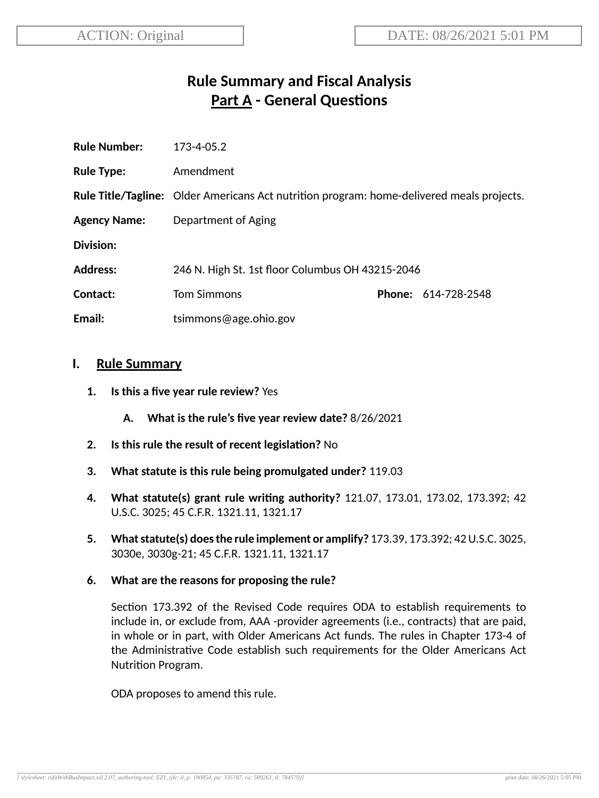# **Rule Summary and Fiscal Analysis Part A** - General Questions

| <b>Rule Number:</b> | 173-4-05.2                                                                                       |  |                            |
|---------------------|--------------------------------------------------------------------------------------------------|--|----------------------------|
| <b>Rule Type:</b>   | Amendment                                                                                        |  |                            |
|                     | <b>Rule Title/Tagline:</b> Older Americans Act nutrition program: home-delivered meals projects. |  |                            |
| <b>Agency Name:</b> | Department of Aging                                                                              |  |                            |
| <b>Division:</b>    |                                                                                                  |  |                            |
| <b>Address:</b>     | 246 N. High St. 1st floor Columbus OH 43215-2046                                                 |  |                            |
| Contact:            | <b>Tom Simmons</b>                                                                               |  | <b>Phone: 614-728-2548</b> |
| Email:              | tsimmons@age.ohio.gov                                                                            |  |                            |
|                     |                                                                                                  |  |                            |

### **I. Rule Summary**

- **1. Is this a five year rule review?** Yes
	- **A. What is the rule's five year review date?** 8/26/2021
- **2.** Is this rule the result of recent legislation? No
- **3. What statute is this rule being promulgated under?** 119.03
- **4. What statute(s) grant rule wring authority?** 121.07, 173.01, 173.02, 173.392; 42 U.S.C. 3025; 45 C.F.R. 1321.11, 1321.17
- **5. Whatstatute(s) doesthe rule implement or amplify?** 173.39, 173.392; 42U.S.C. 3025, 3030e, 3030g-21; 45 C.F.R. 1321.11, 1321.17
- **6. What are the reasons for proposing the rule?**

Section 173.392 of the Revised Code requires ODA to establish requirements to include in, or exclude from, AAA -provider agreements (i.e., contracts) that are paid, in whole or in part, with Older Americans Act funds. The rules in Chapter 173-4 of the Administrative Code establish such requirements for the Older Americans Act Nutrition Program.

ODA proposes to amend this rule.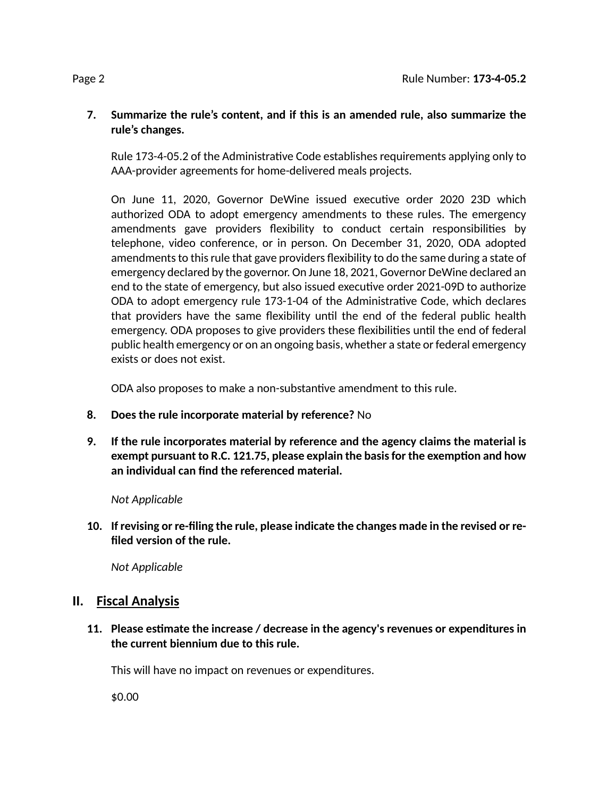### **7. Summarize the rule's content, and if this is an amended rule, also summarize the rule's changes.**

Rule 173-4-05.2 of the Administrative Code establishes requirements applying only to AAA-provider agreements for home-delivered meals projects.

On June 11, 2020, Governor DeWine issued executive order 2020 23D which authorized ODA to adopt emergency amendments to these rules. The emergency amendments gave providers flexibility to conduct certain responsibilities by telephone, video conference, or in person. On December 31, 2020, ODA adopted amendments to this rule that gave providers flexibility to do the same during a state of emergency declared by the governor. On June 18, 2021, Governor DeWine declared an end to the state of emergency, but also issued executive order 2021-09D to authorize ODA to adopt emergency rule 173-1-04 of the Administrative Code, which declares that providers have the same flexibility until the end of the federal public health emergency. ODA proposes to give providers these flexibilities until the end of federal public health emergency or on an ongoing basis, whether a state or federal emergency exists or does not exist.

ODA also proposes to make a non-substantive amendment to this rule.

- **8. Does the rule incorporate material by reference?** No
- **9. If the rule incorporates material by reference and the agency claims the material is exempt pursuant to R.C. 121.75, please explain the basisfor the exempon and how an individual can find the referenced material.**

*Not Applicable*

**10. If revising or re-filing the rule, please indicate the changes made in the revised or refiled version of the rule.**

*Not Applicable*

# **II. Fiscal Analysis**

**11. Please esmate the increase / decrease in the agency's revenues or expenditures in the current biennium due to this rule.**

This will have no impact on revenues or expenditures.

\$0.00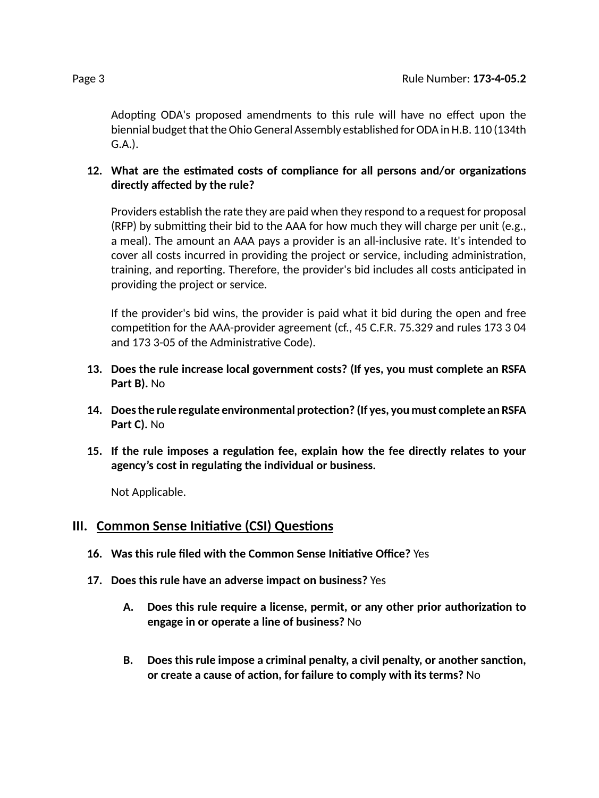Adopting ODA's proposed amendments to this rule will have no effect upon the biennial budget that the Ohio General Assembly established for ODA in H.B. 110 (134th G.A.).

### **12.** What are the estimated costs of compliance for all persons and/or organizations **directly affected by the rule?**

Providers establish the rate they are paid when they respond to a request for proposal (RFP) by submitting their bid to the AAA for how much they will charge per unit (e.g., a meal). The amount an AAA pays a provider is an all-inclusive rate. It's intended to cover all costs incurred in providing the project or service, including administration, training, and reporting. Therefore, the provider's bid includes all costs anticipated in providing the project or service.

If the provider's bid wins, the provider is paid what it bid during the open and free competition for the AAA-provider agreement (cf., 45 C.F.R. 75.329 and rules 173 3 04 and 173 3-05 of the Administrative Code).

- **13. Does the rule increase local government costs? (If yes, you must complete an RSFA Part B).** No
- **14. Doesthe rule regulate environmental protecon? (If yes, you must complete an RSFA Part C).** No
- **15. If the rule imposes a regulaon fee, explain how the fee directly relates to your agency's cost in regulang the individual or business.**

Not Applicable.

### **III.** Common Sense Initiative (CSI) Questions

- **16. Was this rule filed with the Common Sense Iniave Office?** Yes
- **17. Does this rule have an adverse impact on business?** Yes
	- **A. Does this rule require a license, permit, or any other prior authorizaon to engage in or operate a line of business?** No
	- **B. Does this rule impose a criminal penalty, a civil penalty, or another sancon, or** create a cause of action, for failure to comply with its terms? No